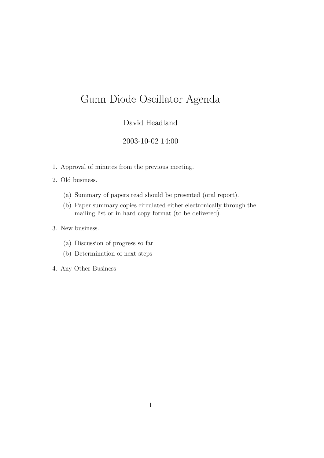## David Headland

### 2003-10-02 14:00

- 1. Approval of minutes from the previous meeting.
- 2. Old business.
	- (a) Summary of papers read should be presented (oral report).
	- (b) Paper summary copies circulated either electronically through the mailing list or in hard copy format (to be delivered).
- 3. New business.
	- (a) Discussion of progress so far
	- (b) Determination of next steps
- 4. Any Other Business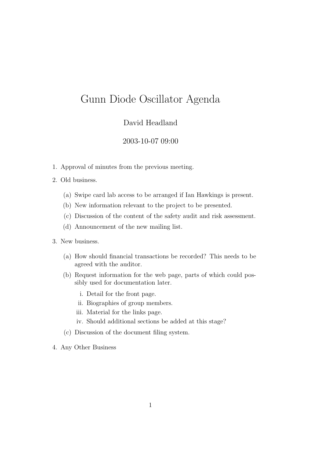### David Headland

#### 2003-10-07 09:00

- 1. Approval of minutes from the previous meeting.
- 2. Old business.
	- (a) Swipe card lab access to be arranged if Ian Hawkings is present.
	- (b) New information relevant to the project to be presented.
	- (c) Discussion of the content of the safety audit and risk assessment.
	- (d) Announcement of the new mailing list.
- 3. New business.
	- (a) How should financial transactions be recorded? This needs to be agreed with the auditor.
	- (b) Request information for the web page, parts of which could possibly used for documentation later.
		- i. Detail for the front page.
		- ii. Biographies of group members.
		- iii. Material for the links page.
		- iv. Should additional sections be added at this stage?
	- (c) Discussion of the document filing system.
- 4. Any Other Business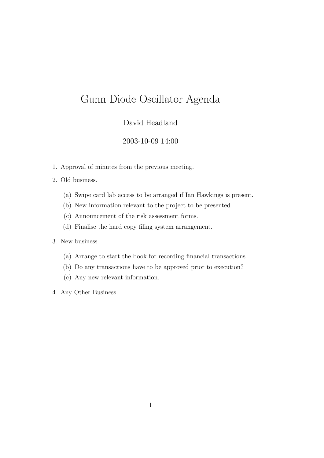### David Headland

#### 2003-10-09 14:00

- 1. Approval of minutes from the previous meeting.
- 2. Old business.
	- (a) Swipe card lab access to be arranged if Ian Hawkings is present.
	- (b) New information relevant to the project to be presented.
	- (c) Announcement of the risk assessment forms.
	- (d) Finalise the hard copy filing system arrangement.

- (a) Arrange to start the book for recording financial transactions.
- (b) Do any transactions have to be approved prior to execution?
- (c) Any new relevant information.
- 4. Any Other Business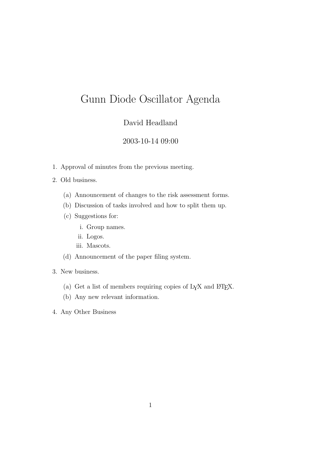### David Headland

#### 2003-10-14 09:00

1. Approval of minutes from the previous meeting.

#### 2. Old business.

- (a) Announcement of changes to the risk assessment forms.
- (b) Discussion of tasks involved and how to split them up.
- (c) Suggestions for:
	- i. Group names.
	- ii. Logos.
	- iii. Mascots.
- (d) Announcement of the paper filing system.
- 3. New business.
	- (a) Get a list of members requiring copies of L<sub>Y</sub>X and L<sup>4</sup>T<sub>E</sub>X.
	- (b) Any new relevant information.
- 4. Any Other Business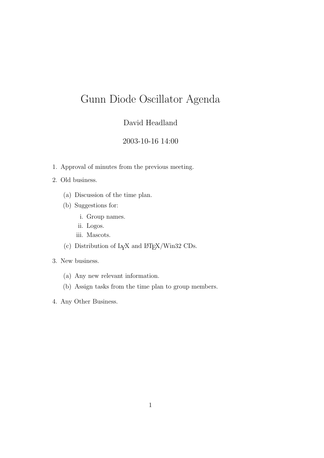## David Headland

### 2003-10-16 14:00

1. Approval of minutes from the previous meeting.

#### 2. Old business.

- (a) Discussion of the time plan.
- (b) Suggestions for:
	- i. Group names.
	- ii. Logos.
	- iii. Mascots.
- (c) Distribution of  $L_{\text{Y}}$ X and  $L_{\text{Z}}$ X/Win32 CDs.

- (a) Any new relevant information.
- (b) Assign tasks from the time plan to group members.
- 4. Any Other Business.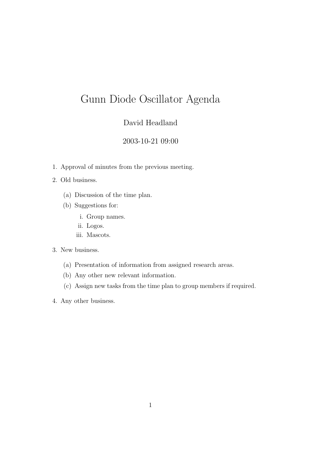## David Headland

### 2003-10-21 09:00

1. Approval of minutes from the previous meeting.

#### 2. Old business.

- (a) Discussion of the time plan.
- (b) Suggestions for:
	- i. Group names.
	- ii. Logos.
	- iii. Mascots.

- (a) Presentation of information from assigned research areas.
- (b) Any other new relevant information.
- (c) Assign new tasks from the time plan to group members if required.
- 4. Any other business.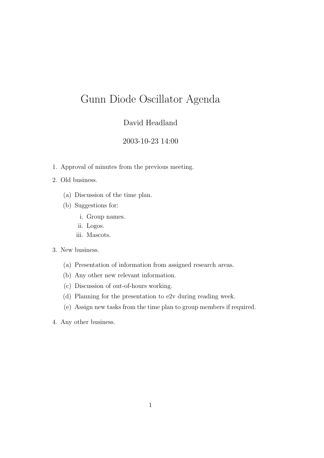### David Headland

### 2003-10-23 14:00

1. Approval of minutes from the previous meeting.

#### 2. Old business.

- (a) Discussion of the time plan.
- (b) Suggestions for:
	- i. Group names.
	- ii. Logos.
	- iii. Mascots.

- (a) Presentation of information from assigned research areas.
- (b) Any other new relevant information.
- (c) Discussion of out-of-hours working.
- (d) Planning for the presentation to e2v during reading week.
- (e) Assign new tasks from the time plan to group members if required.
- 4. Any other business.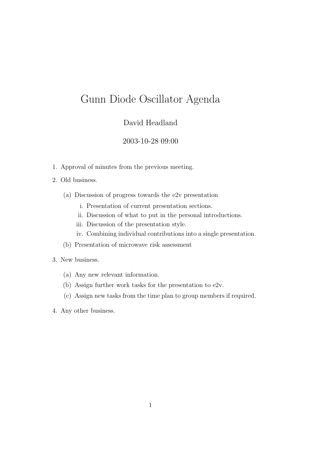### David Headland

#### 2003-10-28 09:00

1. Approval of minutes from the previous meeting.

#### 2. Old business.

- (a) Discussion of progress towards the e2v presentation
	- i. Presentation of current presentation sections.
	- ii. Discussion of what to put in the personal introductions.
	- iii. Discussion of the presentation style.
	- iv. Combining individual contributions into a single presentation.
- (b) Presentation of microwave risk assessment

- (a) Any new relevant information.
- (b) Assign further work tasks for the presentation to e2v.
- (c) Assign new tasks from the time plan to group members if required.
- 4. Any other business.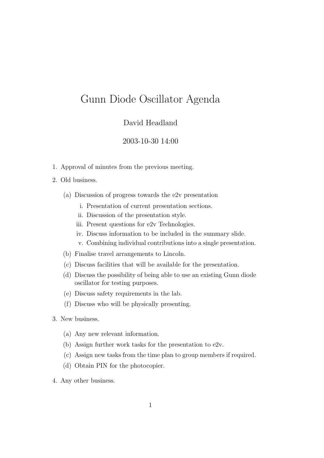### David Headland

#### 2003-10-30 14:00

1. Approval of minutes from the previous meeting.

#### 2. Old business.

- (a) Discussion of progress towards the e2v presentation
	- i. Presentation of current presentation sections.
	- ii. Discussion of the presentation style.
	- iii. Present questions for e2v Technologies.
	- iv. Discuss information to be included in the summary slide.
	- v. Combining individual contributions into a single presentation.
- (b) Finalise travel arrangements to Lincoln.
- (c) Discuss facilities that will be available for the presentation.
- (d) Discuss the possibility of being able to use an existing Gunn diode oscillator for testing purposes.
- (e) Discuss safety requirements in the lab.
- (f) Discuss who will be physically presenting.
- 3. New business.
	- (a) Any new relevant information.
	- (b) Assign further work tasks for the presentation to e2v.
	- (c) Assign new tasks from the time plan to group members if required.
	- (d) Obtain PIN for the photocopier.
- 4. Any other business.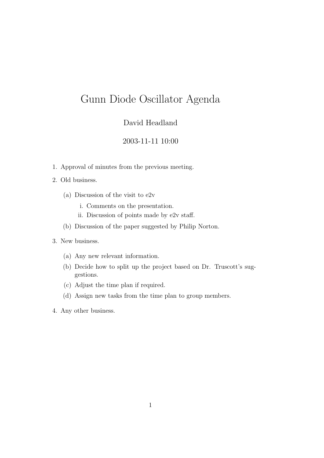### David Headland

### 2003-11-11 10:00

- 1. Approval of minutes from the previous meeting.
- 2. Old business.
	- (a) Discussion of the visit to e2v
		- i. Comments on the presentation.
		- ii. Discussion of points made by e2v staff.
	- (b) Discussion of the paper suggested by Philip Norton.
- 3. New business.
	- (a) Any new relevant information.
	- (b) Decide how to split up the project based on Dr. Truscott's suggestions.
	- (c) Adjust the time plan if required.
	- (d) Assign new tasks from the time plan to group members.
- 4. Any other business.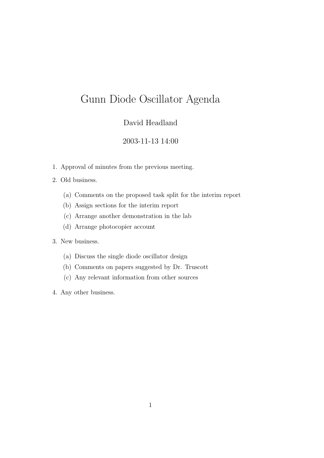## David Headland

### 2003-11-13 14:00

- 1. Approval of minutes from the previous meeting.
- 2. Old business.
	- (a) Comments on the proposed task split for the interim report
	- (b) Assign sections for the interim report
	- (c) Arrange another demonstration in the lab
	- (d) Arrange photocopier account

- (a) Discuss the single diode oscillator design
- (b) Comments on papers suggested by Dr. Truscott
- (c) Any relevant information from other sources
- 4. Any other business.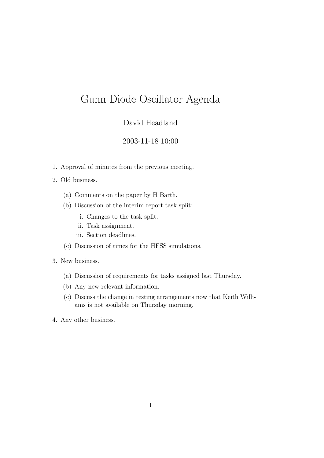### David Headland

#### 2003-11-18 10:00

1. Approval of minutes from the previous meeting.

#### 2. Old business.

- (a) Comments on the paper by H Barth.
- (b) Discussion of the interim report task split:
	- i. Changes to the task split.
	- ii. Task assignment.
	- iii. Section deadlines.
- (c) Discussion of times for the HFSS simulations.
- 3. New business.
	- (a) Discussion of requirements for tasks assigned last Thursday.
	- (b) Any new relevant information.
	- (c) Discuss the change in testing arrangements now that Keith Williams is not available on Thursday morning.
- 4. Any other business.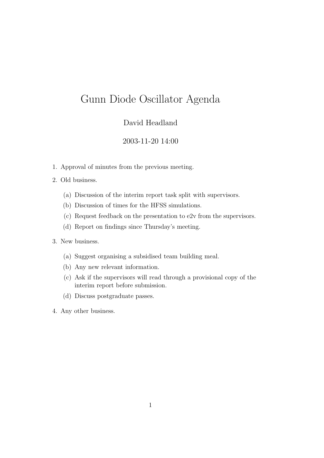### David Headland

#### 2003-11-20 14:00

- 1. Approval of minutes from the previous meeting.
- 2. Old business.
	- (a) Discussion of the interim report task split with supervisors.
	- (b) Discussion of times for the HFSS simulations.
	- (c) Request feedback on the presentation to e2v from the supervisors.
	- (d) Report on findings since Thursday's meeting.
- 3. New business.
	- (a) Suggest organising a subsidised team building meal.
	- (b) Any new relevant information.
	- (c) Ask if the supervisors will read through a provisional copy of the interim report before submission.
	- (d) Discuss postgraduate passes.
- 4. Any other business.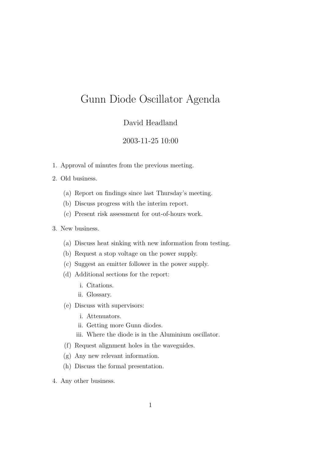### David Headland

#### 2003-11-25 10:00

- 1. Approval of minutes from the previous meeting.
- 2. Old business.
	- (a) Report on findings since last Thursday's meeting.
	- (b) Discuss progress with the interim report.
	- (c) Present risk assessment for out-of-hours work.

- (a) Discuss heat sinking with new information from testing.
- (b) Request a stop voltage on the power supply.
- (c) Suggest an emitter follower in the power supply.
- (d) Additional sections for the report:
	- i. Citations.
	- ii. Glossary.
- (e) Discuss with supervisors:
	- i. Attenuators.
	- ii. Getting more Gunn diodes.
	- iii. Where the diode is in the Aluminium oscillator.
- (f) Request alignment holes in the waveguides.
- (g) Any new relevant information.
- (h) Discuss the formal presentation.
- 4. Any other business.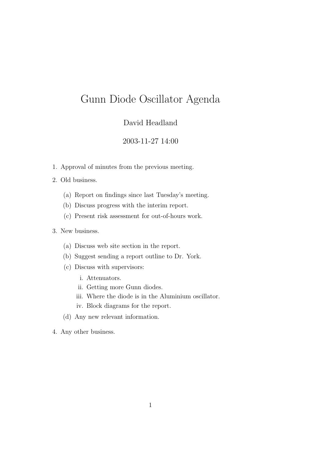### David Headland

#### 2003-11-27 14:00

- 1. Approval of minutes from the previous meeting.
- 2. Old business.
	- (a) Report on findings since last Tuesday's meeting.
	- (b) Discuss progress with the interim report.
	- (c) Present risk assessment for out-of-hours work.

- (a) Discuss web site section in the report.
- (b) Suggest sending a report outline to Dr. York.
- (c) Discuss with supervisors:
	- i. Attenuators.
	- ii. Getting more Gunn diodes.
	- iii. Where the diode is in the Aluminium oscillator.
	- iv. Block diagrams for the report.
- (d) Any new relevant information.
- 4. Any other business.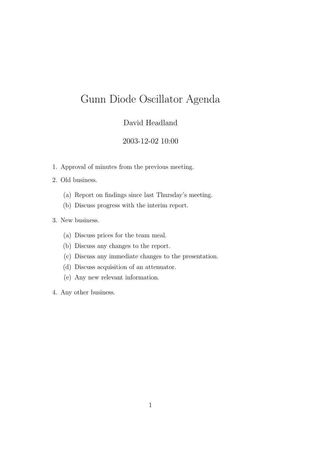## David Headland

### 2003-12-02 10:00

- 1. Approval of minutes from the previous meeting.
- 2. Old business.
	- (a) Report on findings since last Thursday's meeting.
	- (b) Discuss progress with the interim report.
- 3. New business.
	- (a) Discuss prices for the team meal.
	- (b) Discuss any changes to the report.
	- (c) Discuss any immediate changes to the presentation.
	- (d) Discuss acquisition of an attenuator.
	- (e) Any new relevant information.
- 4. Any other business.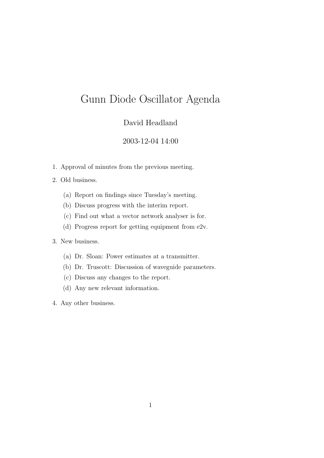### David Headland

#### 2003-12-04 14:00

- 1. Approval of minutes from the previous meeting.
- 2. Old business.
	- (a) Report on findings since Tuesday's meeting.
	- (b) Discuss progress with the interim report.
	- (c) Find out what a vector network analyser is for.
	- (d) Progress report for getting equipment from e2v.

- (a) Dr. Sloan: Power estimates at a transmitter.
- (b) Dr. Truscott: Discussion of waveguide parameters.
- (c) Discuss any changes to the report.
- (d) Any new relevant information.
- 4. Any other business.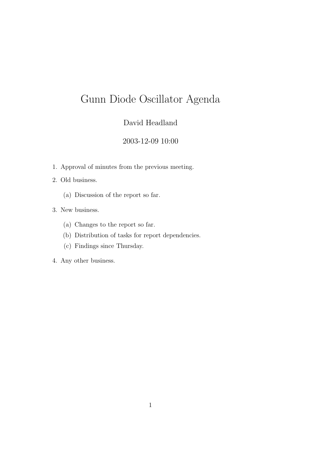## David Headland

### 2003-12-09 10:00

- 1. Approval of minutes from the previous meeting.
- 2. Old business.
	- (a) Discussion of the report so far.
- 3. New business.
	- (a) Changes to the report so far.
	- (b) Distribution of tasks for report dependencies.
	- (c) Findings since Thursday.
- 4. Any other business.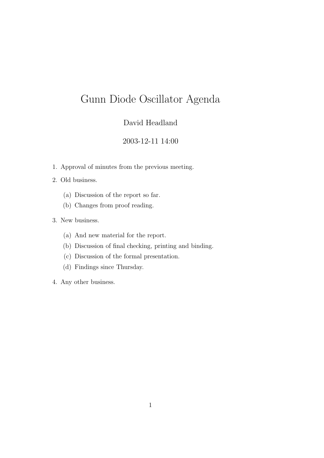## David Headland

### 2003-12-11 14:00

1. Approval of minutes from the previous meeting.

2. Old business.

- (a) Discussion of the report so far.
- (b) Changes from proof reading.
- 3. New business.
	- (a) And new material for the report.
	- (b) Discussion of final checking, printing and binding.
	- (c) Discussion of the formal presentation.
	- (d) Findings since Thursday.
- 4. Any other business.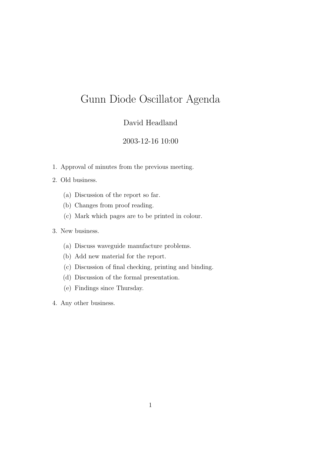### David Headland

### 2003-12-16 10:00

- 1. Approval of minutes from the previous meeting.
- 2. Old business.
	- (a) Discussion of the report so far.
	- (b) Changes from proof reading.
	- (c) Mark which pages are to be printed in colour.
- 3. New business.
	- (a) Discuss waveguide manufacture problems.
	- (b) Add new material for the report.
	- (c) Discussion of final checking, printing and binding.
	- (d) Discussion of the formal presentation.
	- (e) Findings since Thursday.
- 4. Any other business.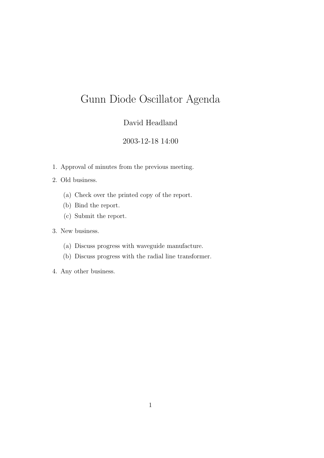## David Headland

#### 2003-12-18 14:00

- 1. Approval of minutes from the previous meeting.
- 2. Old business.
	- (a) Check over the printed copy of the report.
	- (b) Bind the report.
	- (c) Submit the report.

- (a) Discuss progress with waveguide manufacture.
- (b) Discuss progress with the radial line transformer.
- 4. Any other business.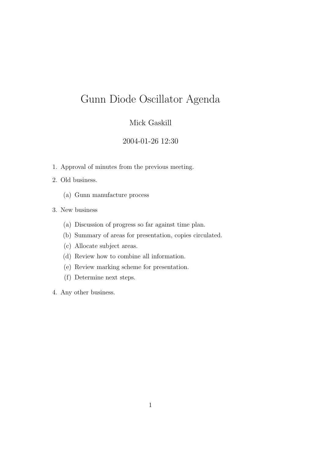### Mick Gaskill

#### 2004-01-26 12:30

- 1. Approval of minutes from the previous meeting.
- 2. Old business.
	- (a) Gunn manufacture process
- 3. New business
	- (a) Discussion of progress so far against time plan.
	- (b) Summary of areas for presentation, copies circulated.
	- (c) Allocate subject areas.
	- (d) Review how to combine all information.
	- (e) Review marking scheme for presentation.
	- (f) Determine next steps.
- 4. Any other business.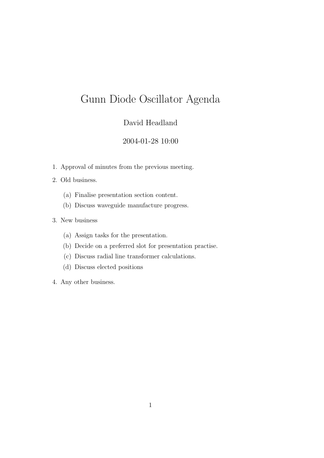## David Headland

### 2004-01-28 10:00

- 1. Approval of minutes from the previous meeting.
- 2. Old business.
	- (a) Finalise presentation section content.
	- (b) Discuss waveguide manufacture progress.
- 3. New business
	- (a) Assign tasks for the presentation.
	- (b) Decide on a preferred slot for presentation practise.
	- (c) Discuss radial line transformer calculations.
	- (d) Discuss elected positions
- 4. Any other business.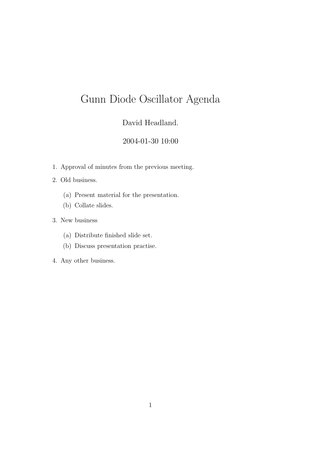## David Headland.

## 2004-01-30 10:00

- 1. Approval of minutes from the previous meeting.
- 2. Old business.
	- (a) Present material for the presentation.
	- (b) Collate slides.
- 3. New business
	- (a) Distribute finished slide set.
	- (b) Discuss presentation practise.
- 4. Any other business.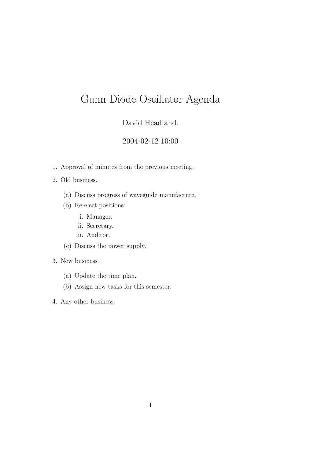## David Headland.

### 2004-02-12 10:00

1. Approval of minutes from the previous meeting.

#### 2. Old business.

- (a) Discuss progress of waveguide manufacture.
- (b) Re-elect positions:
	- i. Manager.
	- ii. Secretary.
	- iii. Auditor.
- (c) Discuss the power supply.

- (a) Update the time plan.
- (b) Assign new tasks for this semester.
- 4. Any other business.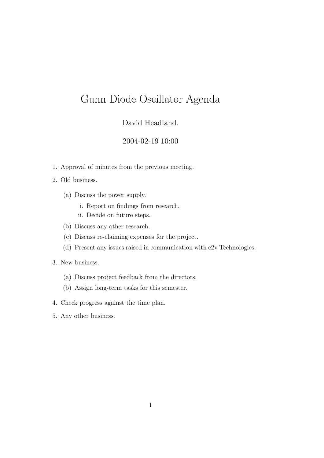### David Headland.

### 2004-02-19 10:00

1. Approval of minutes from the previous meeting.

#### 2. Old business.

- (a) Discuss the power supply.
	- i. Report on findings from research.
	- ii. Decide on future steps.
- (b) Discuss any other research.
- (c) Discuss re-claiming expenses for the project.
- (d) Present any issues raised in communication with e2v Technologies.
- 3. New business.
	- (a) Discuss project feedback from the directors.
	- (b) Assign long-term tasks for this semester.
- 4. Check progress against the time plan.
- 5. Any other business.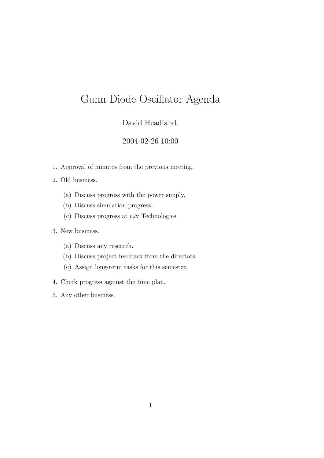## David Headland.

### 2004-02-26 10:00

- 1. Approval of minutes from the previous meeting.
- 2. Old business.
	- (a) Discuss progress with the power supply.
	- (b) Discuss simulation progress.
	- (c) Discuss progress at e2v Technologies.
- 3. New business.
	- (a) Discuss any research.
	- (b) Discuss project feedback from the directors.
	- (c) Assign long-term tasks for this semester.
- 4. Check progress against the time plan.
- 5. Any other business.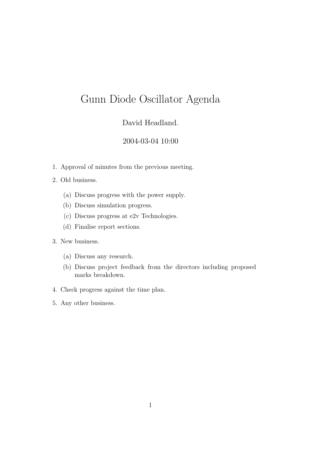### David Headland.

#### 2004-03-04 10:00

1. Approval of minutes from the previous meeting.

#### 2. Old business.

- (a) Discuss progress with the power supply.
- (b) Discuss simulation progress.
- (c) Discuss progress at e2v Technologies.
- (d) Finalise report sections.
- 3. New business.
	- (a) Discuss any research.
	- (b) Discuss project feedback from the directors including proposed marks breakdown.
- 4. Check progress against the time plan.
- 5. Any other business.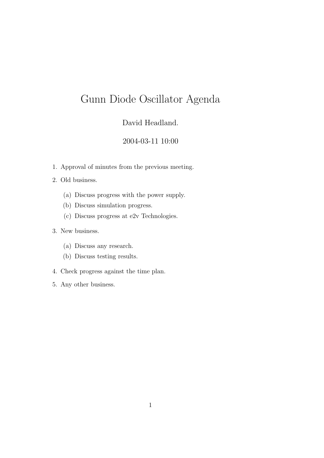## David Headland.

### 2004-03-11 10:00

1. Approval of minutes from the previous meeting.

#### 2. Old business.

- (a) Discuss progress with the power supply.
- (b) Discuss simulation progress.
- (c) Discuss progress at e2v Technologies.

- (a) Discuss any research.
- (b) Discuss testing results.
- 4. Check progress against the time plan.
- 5. Any other business.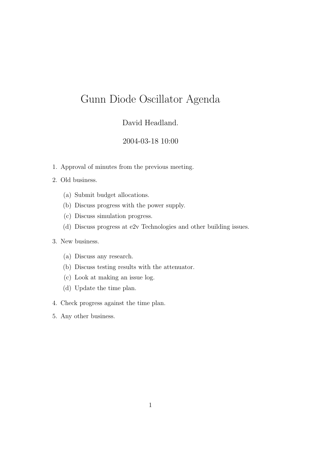### David Headland.

### 2004-03-18 10:00

1. Approval of minutes from the previous meeting.

#### 2. Old business.

- (a) Submit budget allocations.
- (b) Discuss progress with the power supply.
- (c) Discuss simulation progress.
- (d) Discuss progress at e2v Technologies and other building issues.

- (a) Discuss any research.
- (b) Discuss testing results with the attenuator.
- (c) Look at making an issue log.
- (d) Update the time plan.
- 4. Check progress against the time plan.
- 5. Any other business.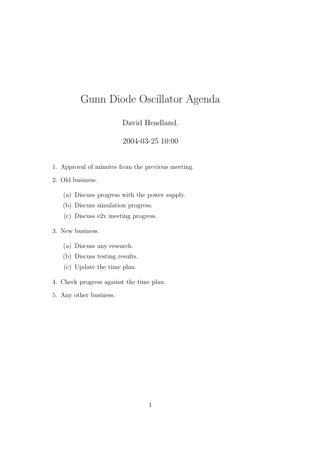## David Headland.

### 2004-03-25 10:00

1. Approval of minutes from the previous meeting.

#### 2. Old business.

- (a) Discuss progress with the power supply.
- (b) Discuss simulation progress.
- (c) Discuss e2v meeting progress.

- (a) Discuss any research.
- (b) Discuss testing results.
- (c) Update the time plan.
- 4. Check progress against the time plan.
- 5. Any other business.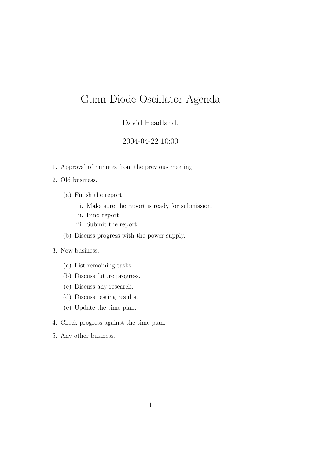### David Headland.

### 2004-04-22 10:00

1. Approval of minutes from the previous meeting.

#### 2. Old business.

- (a) Finish the report:
	- i. Make sure the report is ready for submission.
	- ii. Bind report.
	- iii. Submit the report.
- (b) Discuss progress with the power supply.

- (a) List remaining tasks.
- (b) Discuss future progress.
- (c) Discuss any research.
- (d) Discuss testing results.
- (e) Update the time plan.
- 4. Check progress against the time plan.
- 5. Any other business.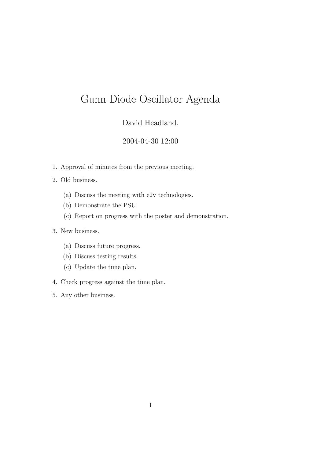## David Headland.

### 2004-04-30 12:00

- 1. Approval of minutes from the previous meeting.
- 2. Old business.
	- (a) Discuss the meeting with e2v technologies.
	- (b) Demonstrate the PSU.
	- (c) Report on progress with the poster and demonstration.

- (a) Discuss future progress.
- (b) Discuss testing results.
- (c) Update the time plan.
- 4. Check progress against the time plan.
- 5. Any other business.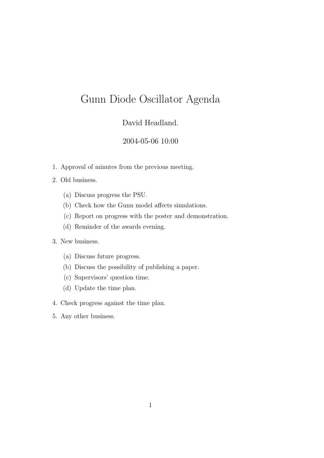### David Headland.

#### 2004-05-06 10:00

1. Approval of minutes from the previous meeting.

#### 2. Old business.

- (a) Discuss progress the PSU.
- (b) Check how the Gunn model affects simulations.
- (c) Report on progress with the poster and demonstration.
- (d) Reminder of the awards evening.

- (a) Discuss future progress.
- (b) Discuss the possibility of publishing a paper.
- (c) Supervisors' question time.
- (d) Update the time plan.
- 4. Check progress against the time plan.
- 5. Any other business.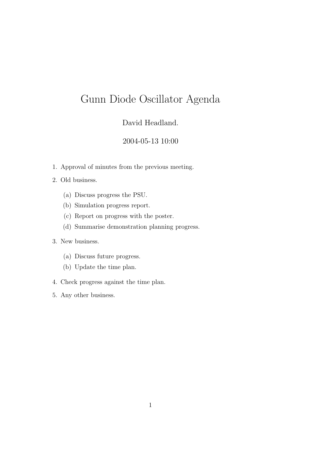## David Headland.

### 2004-05-13 10:00

1. Approval of minutes from the previous meeting.

#### 2. Old business.

- (a) Discuss progress the PSU.
- (b) Simulation progress report.
- (c) Report on progress with the poster.
- (d) Summarise demonstration planning progress.

- (a) Discuss future progress.
- (b) Update the time plan.
- 4. Check progress against the time plan.
- 5. Any other business.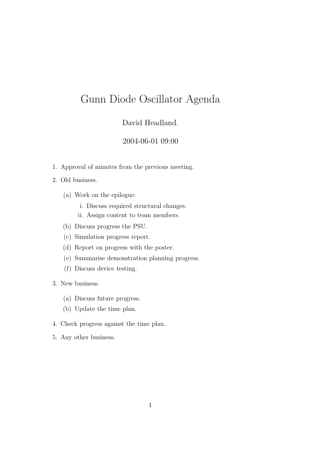### David Headland.

#### 2004-06-01 09:00

1. Approval of minutes from the previous meeting.

#### 2. Old business.

- (a) Work on the epilogue:
	- i. Discuss required structural changes.
	- ii. Assign content to team members.
- (b) Discuss progress the PSU.
- (c) Simulation progress report.
- (d) Report on progress with the poster.
- (e) Summarise demonstration planning progress.
- (f) Discuss device testing.
- 3. New business.
	- (a) Discuss future progress.
	- (b) Update the time plan.
- 4. Check progress against the time plan.
- 5. Any other business.